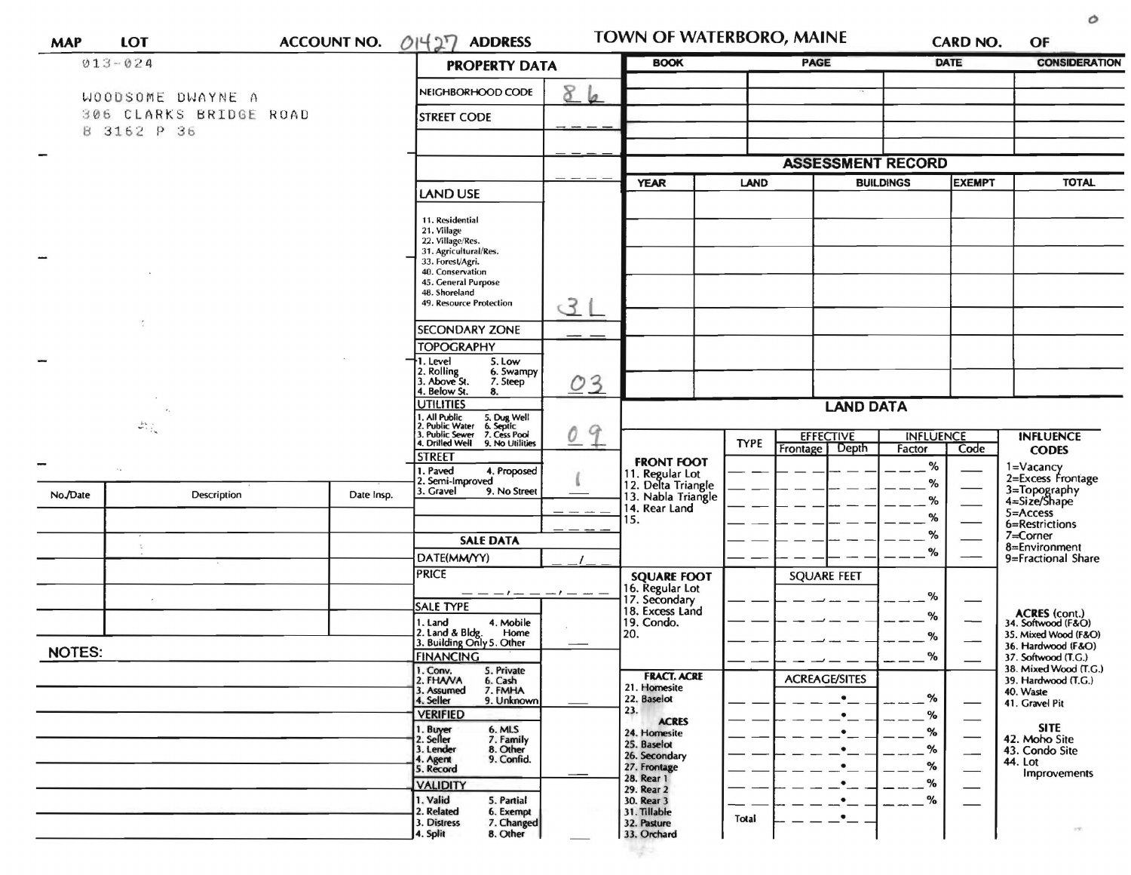| <b>MAP</b>    | <b>LOT</b>                                                            | <b>ACCOUNT NO.</b> | 01427<br><b>ADDRESS</b>                                                                                                                                |          |                                                     | TOWN OF WATERBORO, MAINE                            |                          | CARD NO.<br>OF                                              |
|---------------|-----------------------------------------------------------------------|--------------------|--------------------------------------------------------------------------------------------------------------------------------------------------------|----------|-----------------------------------------------------|-----------------------------------------------------|--------------------------|-------------------------------------------------------------|
| $013 - 024$   |                                                                       |                    | <b>PROPERTY DATA</b>                                                                                                                                   |          | <b>BOOK</b>                                         | <b>PAGE</b>                                         | <b>DATE</b>              | <b>CONSIDERATION</b>                                        |
|               | WOODSOME DWAYNE A                                                     |                    | NEIGHBORHOOD CODE                                                                                                                                      | 8<br>la. |                                                     |                                                     |                          |                                                             |
|               | 306 CLARKS BRIDGE ROAD                                                |                    | <b>STREET CODE</b>                                                                                                                                     |          |                                                     |                                                     |                          |                                                             |
|               | 8 3162 P 36                                                           |                    |                                                                                                                                                        |          |                                                     |                                                     |                          |                                                             |
| -             |                                                                       |                    |                                                                                                                                                        |          |                                                     |                                                     | <b>ASSESSMENT RECORD</b> |                                                             |
|               |                                                                       |                    | <b>LAND USE</b>                                                                                                                                        |          | <b>YEAR</b>                                         | <b>LAND</b>                                         | <b>BUILDINGS</b>         | <b>EXEMPT</b><br><b>TOTAL</b>                               |
|               |                                                                       |                    |                                                                                                                                                        |          |                                                     |                                                     |                          |                                                             |
|               |                                                                       |                    | 11. Residential<br>21. Village<br>22. Village/Res.                                                                                                     |          |                                                     |                                                     |                          |                                                             |
|               |                                                                       |                    | 31. Agricultural/Res.<br>33. Forest/Agri.                                                                                                              |          |                                                     |                                                     |                          |                                                             |
|               |                                                                       |                    | 40. Conservation<br>45. General Purpose                                                                                                                |          |                                                     |                                                     |                          |                                                             |
|               |                                                                       |                    | 48. Shoreland<br>49. Resource Protection                                                                                                               |          |                                                     |                                                     |                          |                                                             |
|               |                                                                       |                    |                                                                                                                                                        | उ        |                                                     |                                                     |                          |                                                             |
|               |                                                                       |                    | <b>SECONDARY ZONE</b>                                                                                                                                  |          |                                                     |                                                     |                          |                                                             |
|               |                                                                       |                    | <b>TOPOGRAPHY</b><br>†1. Level<br>5. Low                                                                                                               |          |                                                     |                                                     |                          |                                                             |
|               |                                                                       |                    | 2. Rolling<br>3. Above St.<br>6. Swampy<br>7. Steep                                                                                                    | 03       |                                                     |                                                     |                          |                                                             |
|               |                                                                       |                    | 4. Below St.<br>8.<br><b>UTILITIES</b>                                                                                                                 |          |                                                     |                                                     | <b>LAND DATA</b>         |                                                             |
|               | $\mathcal{L}_{\mathcal{M}_{\mathcal{A}}}^{\mathcal{M}_{\mathcal{A}}}$ |                    |                                                                                                                                                        |          |                                                     |                                                     |                          |                                                             |
|               |                                                                       |                    | 1. All Public 5. Dug Well<br>1. All Public 5. Dug Well<br>2. Public Water 6. Septic<br>3. Public Sewer 7. Cess Pool<br>4. Drilled Well 9. No Utilities | 9<br>Q   |                                                     | <b>EFFECTIVE</b><br><b>TYPE</b><br>Frontage   Depth | <b>INFLUENCE</b>         | <b>INFLUENCE</b><br>Code                                    |
|               |                                                                       |                    | <b>STREET</b>                                                                                                                                          |          | <b>FRONT FOOT</b>                                   |                                                     | Factor<br>$\%$           | <b>CODES</b>                                                |
|               |                                                                       |                    | 1. Paved<br>4. Proposed<br>2. Semi-Improved                                                                                                            |          | 11. Regular Lot<br>12. Delta Triangle               |                                                     | %                        | 1=Vacancy<br>2=Excess Frontage                              |
| No./Date      | Description                                                           | Date Insp.         | 3. Gravel<br>9. No Street                                                                                                                              |          | 13. Nabla Triangle<br>14. Rear Land                 |                                                     | %                        | 3=Topography<br>4=Size/Shape                                |
|               |                                                                       |                    |                                                                                                                                                        |          | 15.                                                 |                                                     | %                        | $5 =$ Access<br>6=Restrictions                              |
|               |                                                                       |                    | <b>SALE DATA</b>                                                                                                                                       |          |                                                     |                                                     | %<br>%                   | 7=Corner<br>8=Environment                                   |
|               |                                                                       |                    | DATE(MM/YY)<br><b>PRICE</b>                                                                                                                            |          |                                                     |                                                     |                          | 9=Fractional Share                                          |
|               |                                                                       |                    |                                                                                                                                                        |          | <b>SQUARE FOOT</b>                                  | <b>SQUARE FEET</b>                                  |                          |                                                             |
|               |                                                                       |                    | <b>SALE TYPE</b>                                                                                                                                       |          | 16. Regular Lot<br>17. Secondary<br>18. Excess Land |                                                     | %                        |                                                             |
|               |                                                                       |                    | 1. Land<br>4. Mobile<br>Home                                                                                                                           |          | 19. Condo.<br>20.                                   |                                                     | %<br>$\%$                | ACRES (cont.)<br>34. Softwood (F&O)<br>35. Mixed Wood (F&O) |
| <b>NOTES:</b> |                                                                       |                    | 2. Land & Bldg. Home<br>3. Building Only 5. Other<br><b>FINANCING</b>                                                                                  |          |                                                     |                                                     | %                        | 36. Hardwood (F&O)<br>37. Softwood (T.G.)                   |
|               |                                                                       |                    | 1. Conv.<br>5. Private<br>6. Cash                                                                                                                      |          | <b>FRACT. ACRE</b>                                  |                                                     |                          | 38. Mixed Wood (T.G.)                                       |
|               |                                                                       |                    | 2. FHAVA<br>7. FMHA<br>3. Assumed                                                                                                                      |          | 21. Homesite<br>22. Baselot                         | <b>ACREAGE/SITES</b>                                | %                        | 39. Hardwood (T.G.)<br>40. Waste                            |
|               |                                                                       |                    | 4. Seller<br>9. Unknown<br><b>VERIFIED</b>                                                                                                             |          | 23.                                                 |                                                     | %                        | 41. Gravel Pit                                              |
|               |                                                                       |                    | 1. Buyer<br>2. Seller<br>6. MLS<br>7. Family                                                                                                           |          | <b>ACRES</b><br>24. Homesite                        |                                                     | %                        | <b>SITE</b><br>42. Moho Site                                |
|               |                                                                       |                    | 8. Other<br>3. Lender<br>9. Confid.                                                                                                                    |          | 25. Baselot<br>26. Secondary                        |                                                     | %                        | 43. Condo Site                                              |
|               |                                                                       |                    | 4. Agent<br>5. Record                                                                                                                                  |          | 27. Frontage<br>28. Rear 1                          |                                                     | %                        | 44. Lot<br>Improvements                                     |
|               |                                                                       |                    | <b>VALIDITY</b><br>1. Valid<br>5. Partial                                                                                                              |          | 29. Rear 2                                          |                                                     | %<br>%                   |                                                             |
|               |                                                                       |                    | 2. Related<br>6. Exempt                                                                                                                                |          | 30. Rear 3<br>31. Tillable                          | Total                                               |                          |                                                             |
|               |                                                                       |                    | 3. Distress<br>7. Changed<br>4. Split<br>8. Other                                                                                                      |          | 32. Pasture<br>33. Orchard                          |                                                     |                          | $\tau(\vec{y})$                                             |